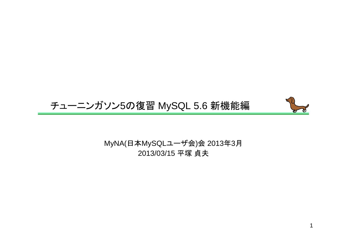# チューニンガソン5の復習 MySQL 5.6 新機能編



MyNA(日本MySQLユーザ会)会 2013年3月<br>2013/03/15 平塚 貞<del>土</del> 2013/03/15 平塚 貞夫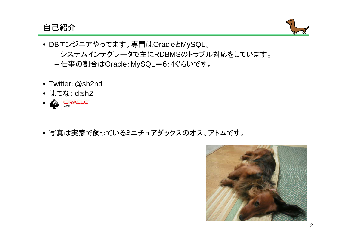### 自己紹介



- DBエンジニアやってます。専門はOracleとMySQL。ーシステムインテクレータで主にRDRMSのトラフ システムインテグレータで主にRDBMSのトラブル対応をしています。仕事の割合はOracle:MySQL=6:4ぐらいです。
- Twitter:@sh2nd
- はてな:id:sh2
- AN ORACLE®
- 写真は実家で飼っているミニチュアダックスのオス、アトムです。

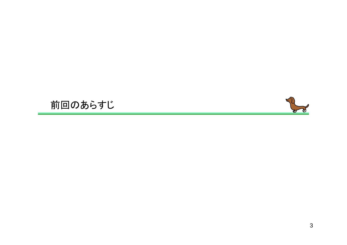# 前回のあらすじ

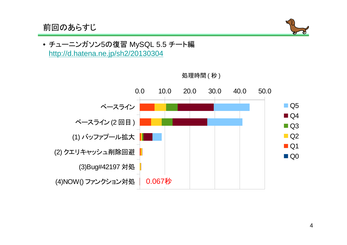前回のあらすじ



• チューニンガソン5の復習 MySQL 5.5 チート編<br>- http://d.hatena.ne.in/sh2/20130304 http://d.hatena.ne.jp/sh2/20130304



処理時間 ( 秒 )<br>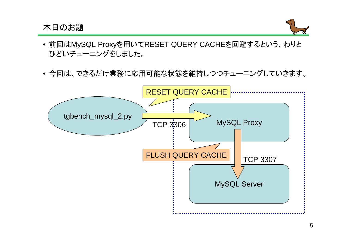## 本日のお題



- 前回はMySQL Proxyを用いてRESET QUERY CACHEを回避するという、わりとひどいチューニングをしました。
- 今回は、できるだけ業務に応用可能な状態を維持しつつチューニングしていきます。

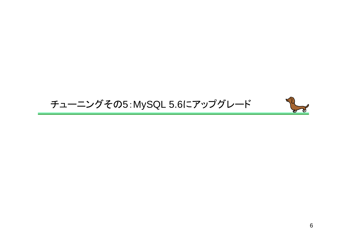# チューニングその5:MySQL 5.6にアップグレード

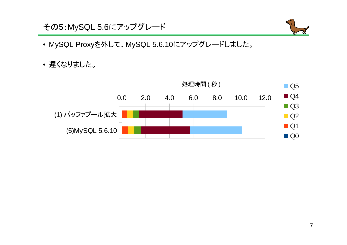



- MySQL Proxyを外して、MySQL 5.6.10にアップグレードしました。
- 遅くなりました。

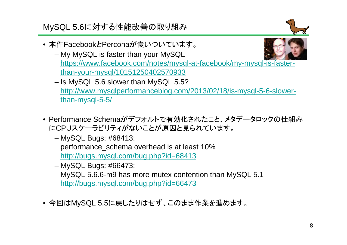MySQL 5.6に対する性能改善の取り組み



- 本件FacebookとPerconaが食いついています。
	- My MySQL is faster than your MySQL https://www.facebook.com/notes/mysql-at-facebook/my-mysql-is-fasterthan-your-mysql/10151250402570933
	- Is MySQL 5.6 slower than MySQL 5.5? http://www.mysqlperformanceblog.com/2013/02/18/is-mysql-5-6-slowerthan-mysql-5-5/
- Performance Schemaがデフォルトで有効化されたこと、メタデータロックの仕組みにCPUスケーラビリティがないことが原因と見られています。
	- MySQL Bugs: #68413: performance\_schema overhead is at least 10%http://bugs.mysql.com/bug.php?id=68413
	- MySQL Bugs: #66473: MySQL 5.6.6-m9 has more mutex contention than MySQL 5.1http://bugs.mysql.com/bug.php?id=66473
- 今回はMySQL 5.5に戻したりはせず、このまま作業を進めます。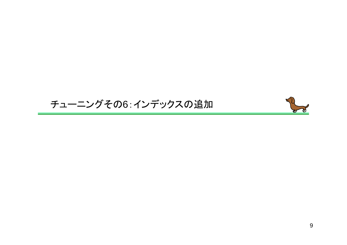## チューニングその6:インデックスの追加

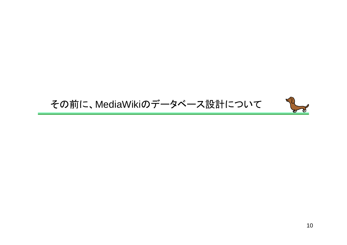## その前に、MediaWikiのデータベース設計について

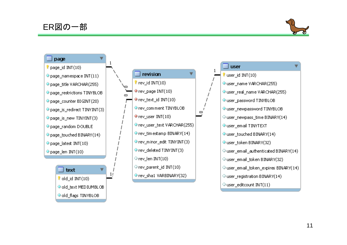

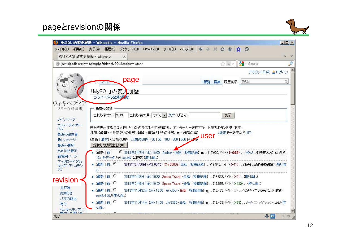## pageとrevisionの関係



| ファイル(E)<br>編集(E)                   | 表示(V)<br>履歴(S)                                          | ブックマーク(B) GMarks(G) ツール(T)                  | ヘルブ(H) ← → ※ C 合 ☆ ①                                                                |              |               | $  \sqrt{2}$   |
|------------------------------------|---------------------------------------------------------|---------------------------------------------|-------------------------------------------------------------------------------------|--------------|---------------|----------------|
|                                    | W 「MySQL」の変更履歴 - Wikipedia                              | $\times$                                    |                                                                                     |              |               |                |
|                                    | ja.wikipedia.org/w/index.php?title=MySQL&action=history |                                             |                                                                                     | <b>A</b> B V | $\sim$ Google |                |
|                                    |                                                         |                                             |                                                                                     |              |               | アカウント作成 & ログイン |
|                                    |                                                         | page                                        | 閲覧                                                                                  | 履歴表示<br>編集   | 検索            | $\alpha$       |
|                                    |                                                         |                                             |                                                                                     |              |               |                |
|                                    | 「MySQL」の変更履歴                                            |                                             |                                                                                     |              |               |                |
|                                    | このページの記録を必覧                                             |                                             |                                                                                     |              |               |                |
| ウィキペディフ<br>フリー百科事典                 | 履歴の閲覧                                                   |                                             |                                                                                     |              |               |                |
|                                    |                                                         | これ以前の月: すべて ▼ タグ絞り込み:                       |                                                                                     |              |               |                |
|                                    | これ以前の年: 2013                                            |                                             |                                                                                     | 表示           |               |                |
| メインページ                             |                                                         |                                             |                                                                                     |              |               |                |
| コミュニティ・ポー                          |                                                         |                                             |                                                                                     |              |               |                |
| タル                                 |                                                         |                                             | 差分を表示するには比較したい版のラジオボタンを選択し、エンターキーを押すか、下部のボタンを押します。                                  |              |               |                |
| 最近の出来事                             |                                                         | 凡例: (最新) = 最新版との比較、(前) = 直前の版との比較、m = 細部の編: |                                                                                     | 、設定で未設定ならUTC |               |                |
| 新しいページ                             |                                                         |                                             | (最新   最古) (以後の50件   以前の50件) (20   50   100   250   500 件) 大学 USEI                   |              |               |                |
| 最近の更新<br>おまかせ表示                    | 選択した版同士を比較                                              |                                             |                                                                                     |              |               |                |
| 練習用ページ                             | (最新   前)                                                |                                             | G 2013年3月7日 (木) 18:00 Addbot (会話 投稿記録) m (17,939バイト) (-903) . (ボット: 言語御リンク 59 件を    |              |               |                |
| アップロード(ウィ                          |                                                         | ウィキデータ上の drg850 に転記)(取り消し)                  |                                                                                     |              |               |                |
| キメディア・コモン                          | • (最新   前) C<br>$\cup$                                  |                                             | 2013年2月20日 (水) 05:16 ケイ20003 (会話 投稿記録) … (18,842パイト) (-11) … (Shift JISの表記参正) (取り消  |              |               |                |
|                                    | • (最新   前) C                                            |                                             | 2013年2月8日 (金) 10:32 Space Travel (会話   投稿記録)  (18,853バイト) (-2)  (取り消し)              |              |               |                |
| revision                           |                                                         |                                             |                                                                                     |              |               |                |
| 井戸端                                | • (最新   前) C                                            |                                             | 2013年2月8日 (金) 10:29 Space Travel (会話 投稿記録) (18,855バイト) (+432) (取り消し)                |              |               |                |
| お知らせ                               | • (最新   前) C                                            |                                             | 2012年11月22日 (木) 13:30 AvicBot (会話 投稿記録) m  (18,423バイト) (0)  (r2.6.5) (ロボットによる 変更:   |              |               |                |
| バグの報告                              | svMySQQ(取り消し)                                           |                                             |                                                                                     |              |               |                |
| 寄付<br>ウィキペディアに<br><del>品生を主演</del> | • (最新   前) ○<br>り消し)                                    |                                             | 2012年11月14日 (水):11:08 Jkr2255 (会話   投稿記録) m  (18,423バイト) (+32)  (→トランザクション: dab) (取 |              |               |                |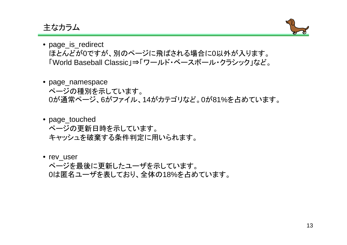主なカラム



- page\_is\_redirect ほとんどが0ですが、別のページに飛ばされる場合に0以外が入ります。「World Baseball Classic」⇒「ワールド・ベースボール・クラシック」など。
- page\_namespace ページの種別を示しています。0が通常ページ、6がファイル、14がカテゴリなど。0が81%を占めています。
- page\_touched ページの更新日時を示しています。キャッシュを破棄する条件判定に用いられます。
- rev\_user

ページを最後に更新したユーザを示しています。0は匿名ユーザを表しており、全体の18%を占めています。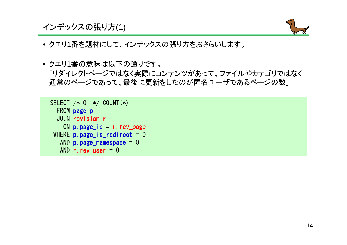インデックスの張り方(1)



- クエリ1番を題材にして、インデックスの張り方をおさらいします。
- クエリ1番の意味は以下の通りです。 「リダイレクトページではなく実際にコンテンツがあって、ファイルやカテゴリではなく通常のページであって、最後に更新をしたのが匿名ユーザであるページの数」

| SELECT $/*$ Q1 $*/$ COUNT $(*)$ |
|---------------------------------|
| FROM page p                     |
| JOIN revision r                 |
| ON $p$ page $id = r$ rev page   |
| WHERE $p$ page is redirect = 0  |
| AND $p. page_name space = 0$    |
| AND r. rev user $= 0$ ;         |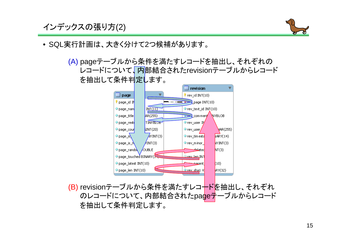インデックスの張り方(2)



• SQL実行計画は、大きく分けて2つ候補があります。

(A) pageテーブルから条件を満たすレコードを抽出し、それぞれの レコードについて、内部結合されたrevisionテーブルからレコードを抽出して条件判定します。



を抽出して条件判定します。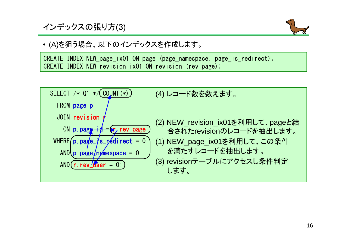インデックスの張り方(3)



• (A)を狙う場合、以下のインデックスを作成します。

CREATE INDEX NEW\_page\_ix01 ON page (page\_namespace, page\_is\_redirect);CREATE INDEX NEW\_revision\_ix01 ON revision (rev\_page);

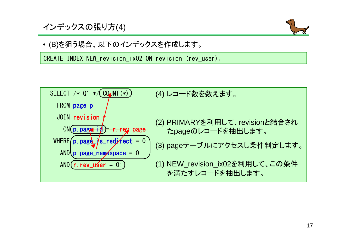## インデックスの張り方(4)



• (B)を狙う場合、以下のインデックスを作成します。

CREATE INDEX NEW\_revision\_ix02 ON revision (rev\_user);

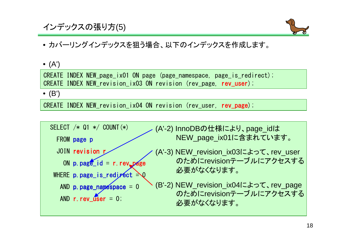## インデックスの張り方(5)



## • カバーリングインデックスを狙う場合、以下のインデックスを作成します。

• (A')

CREATE INDEX NEW\_page\_ix01 ON page (page\_namespace, page\_is\_redirect);CREATE INDEX NEW\_revision\_ix03 ON revision (rev\_page, rev\_user);

• (B')

CREATE INDEX NEW\_revision\_ix04 ON revision (rev\_user, rev\_page);

SELECT /\* Q1 \*/ COUNT(\*)FROM page pJOIN revision rON p.page\_id = r.rev\_page WHERE p.page\_is\_redirect = 0 AND p.page\_namespace = 0 AND r.rev\_user = 0; (A'-2) InnoDBの仕様により、page\_idはNEW\_page\_ix01に含まれています。(A'-3) NEW\_revision\_ix03によって、rev\_userのためにrevisionテーブルにアクセスする必要がなくなります。(B'-2) NEW\_revision\_ix04によって、rev\_pageのためにrevisionテーブルにアクセスする必要がなくなります。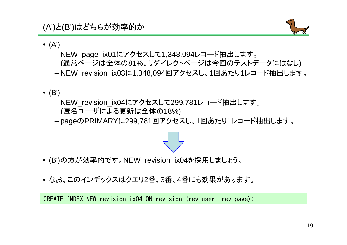(A')と(B')はどちらが効率的か



- (A')
	- NEW\_page\_ix01にアクセスして1,348,094レコード抽出します。 (通常ページは全体の81%、リダイレクトページは今回のテストデータにはなし)NEW\_revision\_ix03に1,348,094回アクセスし、1回あたり1レコード抽出します。
- (B')
	- NEW\_revision\_ix04にアクセスして299,781レコード抽出します。(匿名ユーザによる更新は全体の18%)
	- pageのPRIMARYに299,781回アクセスし、1回あたり1レコード抽出します。



- (B')の方が効率的です。NEW\_revision\_ix04を採用しましょう。
- なお、このインデックスはクエリ2番、3番、4番にも効果があります。

CREATE INDEX NEW\_revision\_ix04 ON revision (rev\_user, rev\_page);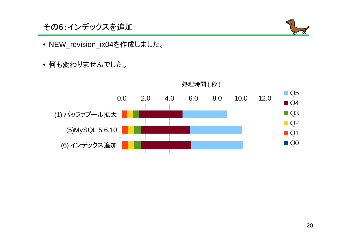その6:インデックスを追加



- NEW\_revision\_ix04を作成しました。
- 何も変わりませんでした。



処理時間 ( 秒 )<br>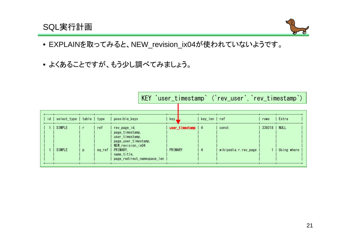## SQL実行計画



- EXPLAINを取ってみると、NEW\_revision\_ix04が使われていないようです。
- よくあることですが、もう少し調べてみましょう。

|  |                                 |              |        |                                                                                                     |              |                    |               | KEY 'user_timestamp' ('rev_user', 'rev_timestamp') |        |             |
|--|---------------------------------|--------------|--------|-----------------------------------------------------------------------------------------------------|--------------|--------------------|---------------|----------------------------------------------------|--------|-------------|
|  |                                 |              |        |                                                                                                     |              |                    |               |                                                    |        |             |
|  | id   select_type   table   type |              |        | possible_keys                                                                                       | key <u>J</u> |                    | kev len   ref |                                                    | rows   | Extra       |
|  | SIMPLE                          |              | ref    | rev page id.<br>page timestamp.<br>user timestamp.                                                  |              | user_timestamp   4 |               | const                                              | 339218 | NULL        |
|  | SIMPLE                          | $\mathbf{D}$ | eg ref | page user timestamp.<br>NEW revision ix04<br>PRIMARY.<br>name title.<br>page redirect namespace len | PRIMARY      |                    |               | wikipedia.r.rev_page                               |        | Using where |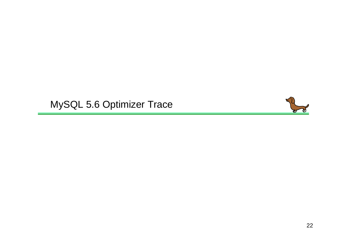# MySQL 5.6 Optimizer Trace

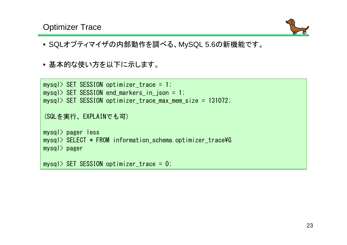## Optimizer Trace



- SQLオプティマイザの内部動作を調べる、MySQL 5.6の新機能です。
- 基本的な使い方を以下に示します。

```
mysql> SET SESSION optimizer_trace = 1;
mysql> SET SESSION end_markers_in_json = 1;
mysql> SET SESSION optimizer_trace_max_mem_size = 131072;
(SQLを実行、EXPLAINでも可)mysql> pager less
mysql> SELECT * FROM information_schema.optimizer_trace¥Gmysql> pagermysql> SET SESSION optimizer_trace = 0;
```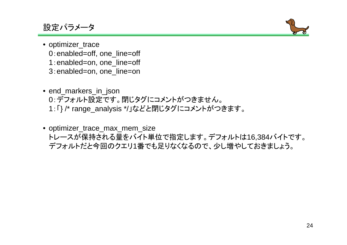## 設定パラメータ



- optimizer\_trace 0:enabled=off, one\_line=off1:enabled=on, one\_line=off3:enabled=on, one\_line=on
- end\_markers\_in\_json 0:デフォルト設定です。閉じタグにコメントがつきません。<sup>1</sup>:「} /\* range\_analysis \*/」などと閉じタグにコメントがつきます。
- optimizer\_trace\_max\_mem\_size トレースが保持される量をバイト単位で指定します。デフォルトは16,384バイトです。デフォルトだと今回のクエリ1番でも足りなくなるので、少し増やしておきましょう。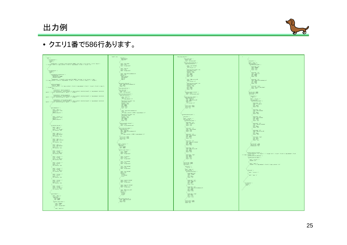出力例



## • クエリ1番で586行あります。

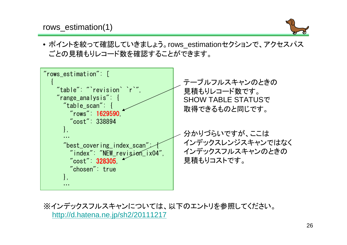rows\_estimation(1)



• ポイントを絞って確認していきましょう。rows\_estimationセクションで、アクセスパスごとの見積もりレコード数を確認することができます。



※インデックスフルスキャンについては、以下のエントリを参照してください。 http://d.hatena.ne.jp/sh2/20111217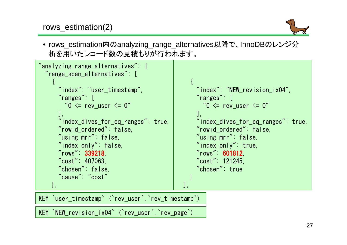

• rows\_estimation内のanalyzing\_range\_alternatives以降で、InnoDBのレンジ分析を用いたレコード数の見積もりが行われます。



KEY `user\_timestamp` (`rev\_user`,`rev\_timestamp`)

KEY `NEW\_revision\_ix04` (`rev\_user`,`rev\_page`)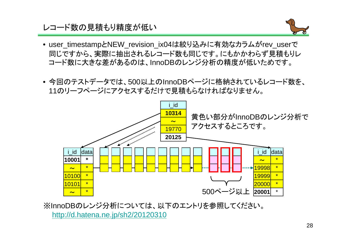## レコード数の見積もり精度が低い



- user\_timestampとNEW\_revision\_ix04は絞り込みに有効なカラムがrev\_user<sup>で</sup> 同じですから、実際に抽出されるレコード数も同じです。にもかかわらず見積もりレコード数に大きな差があるのは、InnoDBのレンジ分析の精度が低いためです。
- 今回のテストデータでは、500以上のInnoDBページに格納されているレコード数を、11のリーフページにアクセスするだけで見積もらなければなりません。



※InnoDBのレンジ分析については、以下のエントリを参照してください。http://d.hatena.ne.jp/sh2/20120310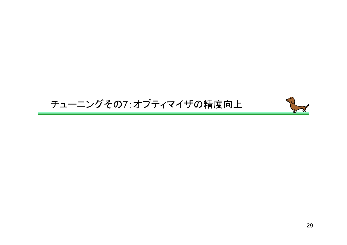## チューニングその7:オプティマイザの精度向上

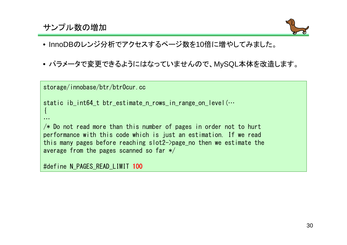## サンプル数の増加



- InnoDBのレンジ分析でアクセスするページ数を10倍に増やしてみました。
- パラメータで変更できるようにはなっていませんので、MySQL本体を改造します。

```
storage/innobase/btr/btr0cur.cc
static ib_int64_t btr_estimate_n_rows_in_range_on_level(...
{…/\ast Do not read more than this number of pages in order not to hurt

performance with this code which is just an estimation. If we read
this many pages before reaching slot2->page_no then we estimate the
average from the pages scanned so far */#define N_PAGES_READ_LIMIT 100
```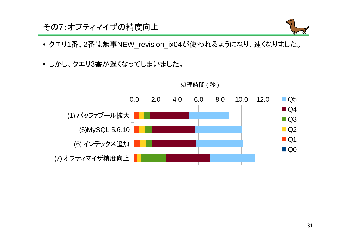## その7:オプティマイザの精度向上



- クエリ1番、2番は無事NEW\_revision\_ix04が使われるようになり、速くなりました。
- しかし、クエリ3番が遅くなってしまいました。



## 処理時間 ( 秒 )<br>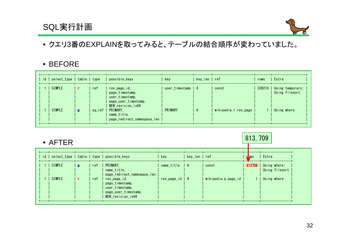## SQL実行計画



• クエリ3番のEXPLAINを取ってみると、テーブルの結合順序が変わっていました。

## • BEFORE

|        |        |                                                                                                            | kev                | key_len   ref |                      | rows | l Extra                                     |
|--------|--------|------------------------------------------------------------------------------------------------------------|--------------------|---------------|----------------------|------|---------------------------------------------|
| SIMPLE | ref    | rev page id.<br>page timestamp.<br>user_timestamp,                                                         | user timestamp   4 |               | const                |      | 339218   Using temporary;<br>Using filesort |
| SIMPLE | eq_ref | page_user_timestamp,<br>NEW_revision_ix04<br><b>PRIMARY.</b><br>name title.<br>page redirect namespace len | PRIMARY            |               | wikipedia.r.rev page |      | Using where                                 |

| $\bullet$ AFTER |  |     |                                                                                                 |                   |               |                     |              | 813, 709                                |  |  |
|-----------------|--|-----|-------------------------------------------------------------------------------------------------|-------------------|---------------|---------------------|--------------|-----------------------------------------|--|--|
|                 |  |     | id   select_type   table   type   possible_keys                                                 | kev               | kev len   ref |                     | <b>L</b> DWS | Extra                                   |  |  |
| I SIMPLE        |  | ref | PRIMARY.<br>name_title,<br>page_redirect_namespace_len                                          | $name\_title$   4 |               | const               |              | 813709   Using where;<br>Using filesort |  |  |
| SIMPLE          |  | ref | rev_page_id,<br>page_timestamp,<br>user timestamp.<br>page_user_timestamp,<br>NEW revision ix04 | rev_page_id   4   |               | wikipedia.p.page_id |              | Using where                             |  |  |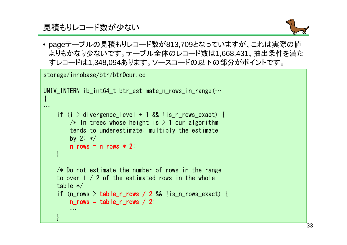見積もりレコード数が少ない

}



• pageテーブルの見積もりレコード数が813,709となっていますが、これは実際の値 よりもかなり少ないです。テーブル全体のレコード数は1,668,431、抽出条件を満たすレコードは1,348,094あります。ソースコードの以下の部分がポイントです。

```
storage/innobase/btr/btr0cur.cc
UNIV INTERN ib int64 t btr estimate n rows in range(\cdots{…if (i > divergence level + 1 && !is n rows exact) {
        /* In trees whose height is > 1 our algorithm

tends to underestimate: multiply the estimateby 2: */n\_rows = n\_rows \times 2;
    }/* Do not estimate the number of rows in the range
    to over 1 / 2 of the estimated rows in the wholetable */if (n_rows > table_n_rows / 2 && !is_n_rows_exact) {
        n rows = table n rows / 2;
        …
```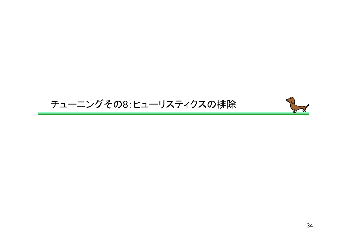## チューニングその8:ヒューリスティクスの排除

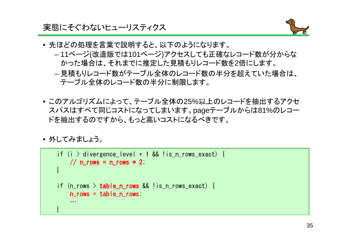#### 実態にそぐわないヒューリスティクス



- 先ほどの処理を言葉で説明すると、以下のようになります。
	- 11ペ —ヾノ(~∇-告 եե アミ!†1()1ペ —ヾノ\ アクセス! 7 ‡. ゖ ##フ <sup>11</sup>ページ(改造版では101ページ)アクセスしても正確なレコード数が分からなかった場合は、それまでに推定した見積もりレコード数を2倍にします。
	- – 見積もりレコード数がテーブル全体のレコード数の半分を超えていた場合は、テーブル全体のレコード数の半分に制限します。
- このアルゴリズムによって、テーブル全体の25%以上のレコードを抽出するアクセスパスはすべて同じコストになってしまいます。pageテーブルからは81%のレコードを抽出するのですから、もっと高いコストになるべきです。
- 外してみましょう。

```
if (i > divergence_level + 1 && !is_n_rows_exact) {
    \frac{1}{2} n_rows = n_rows * 2;
}if (n_rows > table_n_rows && !is_n_rows_exact) {
    n_ rows = table n rows;
    …}
```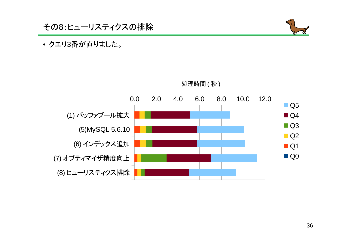

## • クエリ3番が直りました。



処理時間 ( 秒 )<br>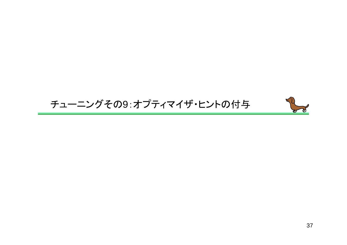## チューニングその9:オプティマイザ・ヒントの付与

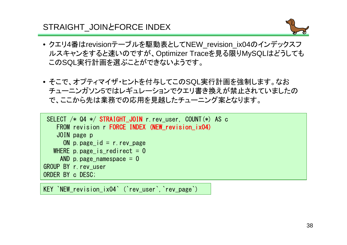## STRAIGHT\_JOIN *E* ORCE INDEX



- クエリ4番はrevisionテーブルを駆動表としてNEW\_revision\_ix04のインデックスフ ルスキャンをすると速いのですが、Optimizer Traceを見る限りMySQLはどうしてもこのSQL実行計画を選ぶことができないようです。
- そこで、オプティマイザ・ヒントを付与してこのSQL実行計画を強制します。なお チューニンガソン5ではレギュレーションでクエリ書き換えが禁止されていましたので、ここから先は業務での応用を見越したチューニング案となります。

```
SELECT /* Q4 */ STRAIGHT_JOIN r.rev_user, COUNT(*) AS c
   FROM revision r FORCE INDEX (NEW revision ix04)
    JOIN page p
ON p.page_id = r.rev_page
  WHERE p.page is redirect = 0AND p. page_namespace = 0GROUP BY r.rev_userORDER BY c DESC;
```
KEY `NEW revision ix04` (`rev\_user`, `rev\_page`)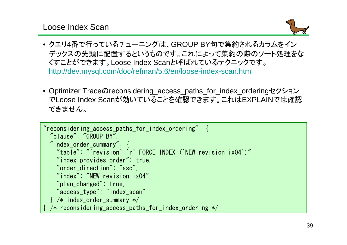Loose Index Scan



- クエリ4番で行っているチューニングは、GROUP BY句で集約されるカラムをイン デックスの先頭に配置するというものです。これによって集約の際のソート処理をなくすことができます。Loose Index Scanと呼ばれているテクニックです。http://dev.mysql.com/doc/refman/5.6/en/loose-index-scan.html
- Optimizer Traceのreconsidering\_access\_paths\_for\_index\_orderingセクション でLoose Index Scanが効いていることを確認できます。これはEXPLAINでは確認できません。

```
"reconsidering_access_paths_for_index_ordering": {"clause": "GROUP BY",
"index_order_summary": {
"table": "`revision` `r` FORCE INDEX (`NEW_revision_ix04`)","index_provides_order": true,"order_direction": "asc",
"index": "NEW_revision_ix04","plan_changed": true,
"access_type": "index_scan"} /* index_order_summary */
 /* reconsidering access paths for index ordering */
```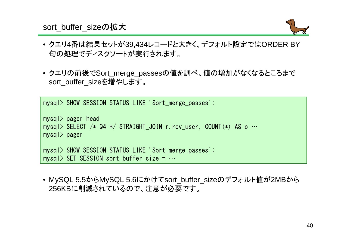#### sort\_buffer\_sizeの拡大



- クエリ4番は結果セットが39,434レコードと大きく、デフォルト設定ではORDER BY句の処理でディスクソートが実行されます。
- クエリの前後でSort\_merge\_passesの値を調べ、値の増加がなくなるところまでsort buffer sizeを増やします。

mysql> SHOW SESSION STATUS LIKE 'Sort\_merge\_passes';

```
mysql> pager head
mysql> SELECT /* Q4 */ STRAIGHT_JOIN r.rev_user, COUNT(*) AS c …mysql> pagermysql> SHOW SESSION STATUS LIKE 'Sort_merge_passes';mysql> SET SESSION sort buffer size = \cdots
```
• MySQL 5.5からMySQL 5.6にかけてsort\_buffer\_sizeのデフォルト値が2MBから256KBに削減されているので、注意が必要です。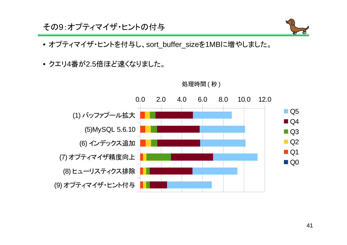その9:オプティマイザ・ヒントの付与



- オプティマイザ・ヒントを付与し、sort\_buffer\_sizeを1MBに増やしました。
- クエリ4番が2.5倍ほど速くなりました。



処理時間 ( 秒 )<br>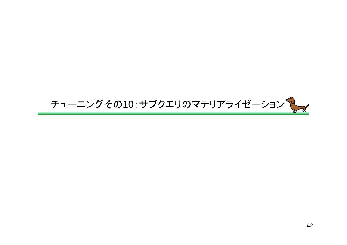# チューニングその10:サブクエリのマテリアライゼーション しょ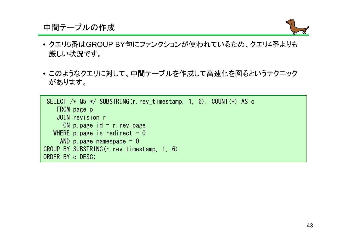### 中間テーブルの作成



- クエリ5番はGROUP BY句にファンクションが使われているため、クエリ4番よりも厳しい状況です。
- このようなクエリに対して、中間テーブルを作成して高速化を図るというテクニックがあります。

SELECT /\* Q5 \*/ SUBSTRING(r.rev\_timestamp, 1, 6), COUNT(\*) AS cFROM page p JOIN revision r ON p.page\_id = r.rev\_page WHERE  $p$  page  $is$  redirect = 0 AND p. page\_namespace  $= 0$ GROUP BY SUBSTRING(r.rev\_timestamp, 1, 6)ORDER BY c DESC;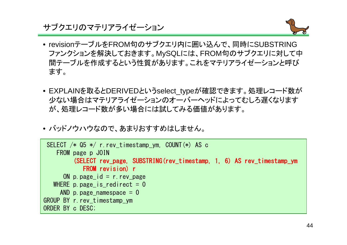#### サブクエリのマテリアライゼーション



- revisionテーブルをFROM句のサブクエリ内に囲い込んで、同時にSUBSTRING ファンクションを解決しておきます。MySQLには、FROM句のサブクエリに対して中 間テーブルを作成するという性質があります。これをマテリアライゼーションと呼びます。
- EXPLAINを取るとDERIVEDというselect\_typeが確認できます。処理レコード数が 少ない場合はマテリアライゼーションのオーバーヘッドによってむしろ遅くなりますが、処理レコード数が多い場合には試してみる価値があります。
- バッドノウハウなので、あまりおすすめはしません。

```
SELECT /* Q5 */ r.rev_timestamp_ym, COUNT(*) AS cFROM page p JOIN(SELECT rev_page, SUBSTRING(rev_timestamp, 1, 6) AS rev_timestamp_ym
           FROM revision) r
ON p.page_id = r.rev_page
   WHERE p page_is_redirect = 0
    AND p.page namespace = 0GROUP BY r.rev_timestamp_ymORDER BY c DESC;
```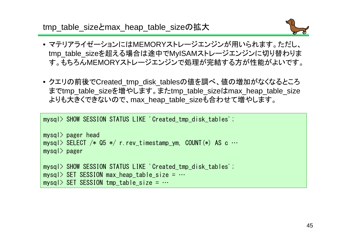tmp\_table\_sizeとmax\_heap\_table\_sizeの拡大



- マテリアライゼーションにはMEMORYストレージエンジンが用いられます。ただし、 tmp\_table\_sizeを超える場合は途中でMyISAMストレージエンジンに切り替わります。もちろんMEMORYストレージエンジンで処理が完結する方が性能がよいです。
- クエリの前後でCreated\_tmp\_disk\_tablesの値を調べ、値の増加がなくなるところまでtmp\_table\_sizeを増やします。またtmp\_table\_sizeはmax\_heap\_table\_sizeよりも大きくできないので、max\_heap\_table\_sizeも合わせて増やします。

mysql> SHOW SESSION STATUS LIKE 'Created tmp disk tables';

```
mysql> pager head
mysql> SELECT /* Q5 */ r.rev_timestamp_ym, COUNT(*) AS c …mysql> pagermysql> SHOW SESSION STATUS LIKE 'Created_tmp_disk_tables';mysql> SET SESSION max heap table size = \cdotsmysql> SET SESSION tmp_table_size = \cdots
```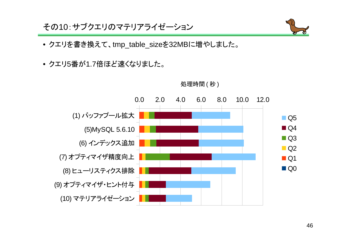その10:サブクエリのマテリアライゼーション



- クエリを書き換えて、tmp\_table\_sizeを32MBに増やしました。
- クエリ5番が1.7倍ほど速くなりました。



処理時間 ( 秒 )<br>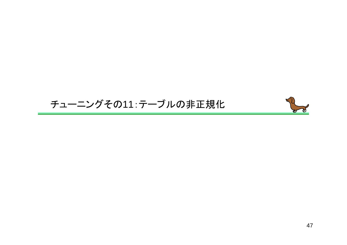## チューニングその11:テーブルの非正規化

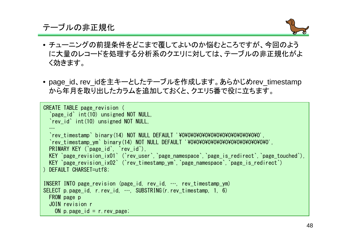## テーブルの非正規化



- チューニングの前提条件をどこまで覆してよいのか悩むところですが、今回のよう に大量のレコードを処理する分析系のクエリに対しては、テーブルの非正規化がよく効きます。
- page\_id、rev\_idを主キーとしたテーブルを作成します。あらかじめrev\_timestampから年月を取り出したカラムを追加しておくと、クエリ5番で役に立ちます。

```
CREATE TABLE page_revision (
  `page id` int(10) unsigned NOT NULL,
  `rev id` int(10) unsigned NOT NULL,
  …
`rev_timestamp` binary(14) NOT NULL DEFAULT '¥0¥0¥0¥0¥0¥0¥0¥0¥0¥0¥0¥0¥0¥0',
`rev_timestamp_ym` binary(14) NOT NULL DEFAULT '¥0¥0¥0¥0¥0¥0¥0¥0¥0¥0¥0¥0¥0¥0',PRIMARY KEY (`page id`, `rev id`).

KEY `page_revision_ix01` (`rev_user`,`page_namespace`,`page_is_redirect`,`page_touched`),KEY `page_revision_ix02` (`rev_timestamp_ym`,`page_namespace`,`page_is_redirect`)) DEFAULT CHARSET=utf8;INSERT INTO page_revision (page_id, rev_id, …, rev_timestamp_ym)
SELECT p.page_id, r.rev_id, …, SUBSTRING(r.rev_timestamp, 1, 6)
 FROM page p
JOIN revision r
ON p.page_id = r.rev_page;
```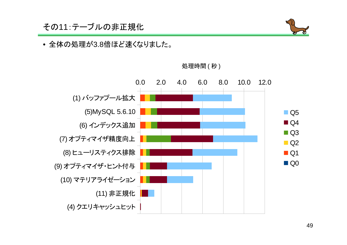## その11:テーブルの非正規化



#### • 全体の処理が3.8倍ほど速くなりました。



処理時間 ( 秒 )<br>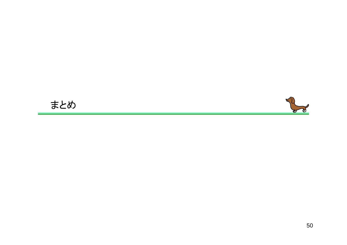## まとめ

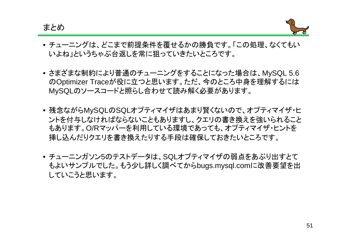まとめ



- チューニングは、どこまで前提条件を覆せるかの勝負です。「この処理、なくてもいいよね」というちゃぶ台返しを常に狙っていきたいところです。
- さまざまな制約により普通のチューニングをすることになった場合は、MySQL 5.6 のOptimizer Traceが役に立つと思います。ただ、今のところ中身を理解するにはMySQLのソースコードと照らし合わせて読み解く必要があります。
- 残念ながらMySQLのSQLオプティマイザはあまり賢くないので、オプティマイザ・ヒ ントを付与しなければならないこともありますし、クエリの書き換えを強いられること もあります。O/Rマッパーを利用している環境であっても、オプティマイザ・ヒントを挿し込んだりクエリを書き換えたりする手段は確保しておきたいところです。
- チューニンガソン5のテストデータは、SQLオプティマイザの弱点をあぶり出すとてもよいサンプルでした。もう少し詳しく調べてからbugs.mysql.comに改善要望を出していこうと思います。